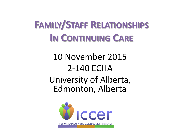## **FAMILY/STAFF RELATIONSHIPS IN CONTINUING CARE**

10 November 2015 2-140 ECHA University of Alberta, Edmonton, Alberta

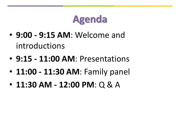## **Agenda**

- **9:00 - 9:15 AM**: Welcome and introductions
- **9:15 - 11:00 AM**: Presentations
- **11:00 - 11:30 AM**: Family panel
- **11:30 AM - 12:00 PM**: Q & A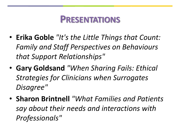#### **PRESENTATIONS**

- **Erika Goble** *"It's the Little Things that Count: Family and Staff Perspectives on Behaviours that Support Relationships"*
- **Gary Goldsand** *"When Sharing Fails: Ethical Strategies for Clinicians when Surrogates Disagree"*
- **Sharon Brintnell** *"What Families and Patients say about their needs and interactions with Professionals"*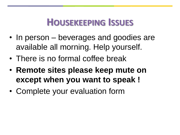### **HOUSEKEEPING ISSUES**

- In person beverages and goodies are available all morning. Help yourself.
- There is no formal coffee break
- **Remote sites please keep mute on except when you want to speak !**
- Complete your evaluation form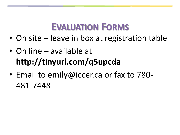### **EVALUATION FORMS**

- On site leave in box at registration table
- On line available at **http://tinyurl.com/q5upcda**
- Email to emily@iccer.ca or fax to 780- 481-7448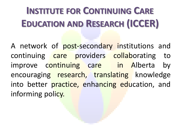# **INSTITUTE FOR CONTINUING CARE EDUCATION AND RESEARCH (ICCER)**

A network of post-secondary institutions and continuing care providers collaborating to improve continuing care in Alberta by encouraging research, translating knowledge into better practice, enhancing education, and informing policy.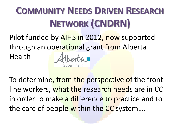# **COMMUNITY NEEDS DRIVEN RESEARCH NETWORK (CNDRN)**

Pilot funded by AIHS in 2012, now supported through an operational grant from Alberta

Health

entar

To determine, from the perspective of the frontline workers, what the research needs are in CC in order to make a difference to practice and to the care of people within the CC system....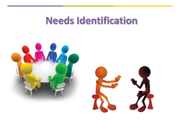### **Needs Identification**



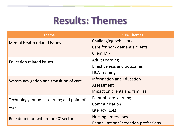### **Results: Themes**

| <b>Theme</b>                                       | <b>Sub-Themes</b>                     |
|----------------------------------------------------|---------------------------------------|
| <b>Mental Health related issues</b>                | <b>Challenging behaviors</b>          |
|                                                    | Care for non- dementia clients        |
|                                                    | <b>Client Mix</b>                     |
| <b>Education related issues</b>                    | <b>Adult Learning</b>                 |
|                                                    | <b>Effectiveness and outcomes</b>     |
|                                                    | <b>HCA Training</b>                   |
| System navigation and transition of care           | Information and Education             |
|                                                    | Assessment                            |
|                                                    | Impact on clients and families        |
| Technology for adult learning and point of<br>care | Point of care learning                |
|                                                    | Communication                         |
|                                                    | Literacy (ESL)                        |
| Role definition within the CC sector               | <b>Nursing professions</b>            |
|                                                    | Rehabilitation/Recreation professions |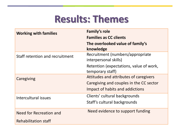### **Results: Themes**

| <b>Working with families</b>    | <b>Family's role</b>                                        |
|---------------------------------|-------------------------------------------------------------|
|                                 | <b>Families as CC clients</b>                               |
|                                 | The overlooked value of family's<br>knowledge               |
| Staff retention and recruitment | Recruitment (numbers/appropriate<br>interpersonal skills)   |
|                                 | Retention (expectations, value of work,<br>temporary staff) |
| Caregiving                      | Attitudes and attributes of caregivers                      |
|                                 | Caregiving and couples in the CC sector                     |
|                                 | Impact of habits and addictions                             |
| Intercultural issues            | Clients' cultural backgrounds                               |
|                                 | Staff's cultural backgrounds                                |
| Need for Recreation and         | Need evidence to support funding                            |
| <b>Rehabilitation staff</b>     |                                                             |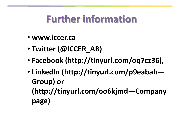## **Further information**

- **www.iccer.ca**
- **Twitter (@ICCER\_AB)**
- **Facebook (http://tinyurl.com/oq7cz36),**
- **LinkedIn (http://tinyurl.com/p9eabah— Group) or (http://tinyurl.com/oo6kjmd—Company page)**